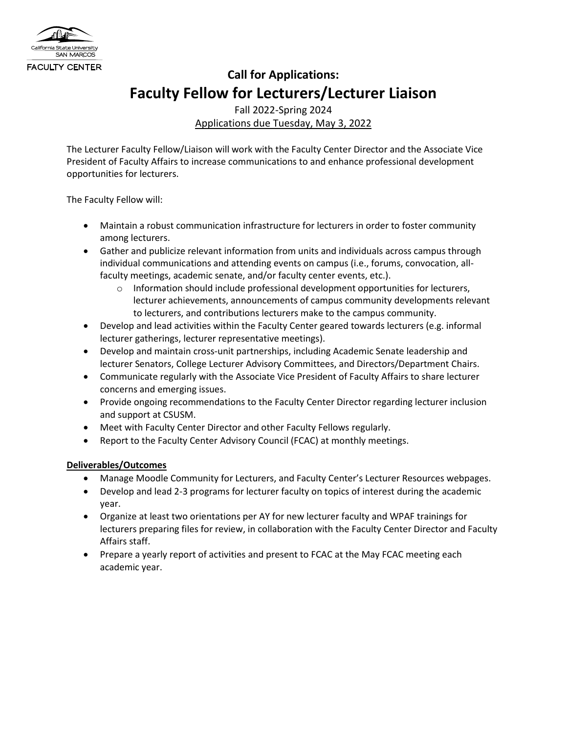

## **Call for Applications: Faculty Fellow for Lecturers/Lecturer Liaison**

Fall 2022-Spring 2024 Applications due Tuesday, May 3, 2022

The Lecturer Faculty Fellow/Liaison will work with the Faculty Center Director and the Associate Vice President of Faculty Affairs to increase communications to and enhance professional development opportunities for lecturers.

The Faculty Fellow will:

- Maintain a robust communication infrastructure for lecturers in order to foster community among lecturers.
- Gather and publicize relevant information from units and individuals across campus through individual communications and attending events on campus (i.e., forums, convocation, allfaculty meetings, academic senate, and/or faculty center events, etc.).
	- $\circ$  Information should include professional development opportunities for lecturers, lecturer achievements, announcements of campus community developments relevant to lecturers, and contributions lecturers make to the campus community.
- Develop and lead activities within the Faculty Center geared towards lecturers (e.g. informal lecturer gatherings, lecturer representative meetings).
- Develop and maintain cross-unit partnerships, including Academic Senate leadership and lecturer Senators, College Lecturer Advisory Committees, and Directors/Department Chairs.
- Communicate regularly with the Associate Vice President of Faculty Affairs to share lecturer concerns and emerging issues.
- Provide ongoing recommendations to the Faculty Center Director regarding lecturer inclusion and support at CSUSM.
- Meet with Faculty Center Director and other Faculty Fellows regularly.
- Report to the Faculty Center Advisory Council (FCAC) at monthly meetings.

## **Deliverables/Outcomes**

- Manage Moodle Community for Lecturers, and Faculty Center's Lecturer Resources webpages.
- Develop and lead 2-3 programs for lecturer faculty on topics of interest during the academic year.
- Organize at least two orientations per AY for new lecturer faculty and WPAF trainings for lecturers preparing files for review, in collaboration with the Faculty Center Director and Faculty Affairs staff.
- Prepare a yearly report of activities and present to FCAC at the May FCAC meeting each academic year.